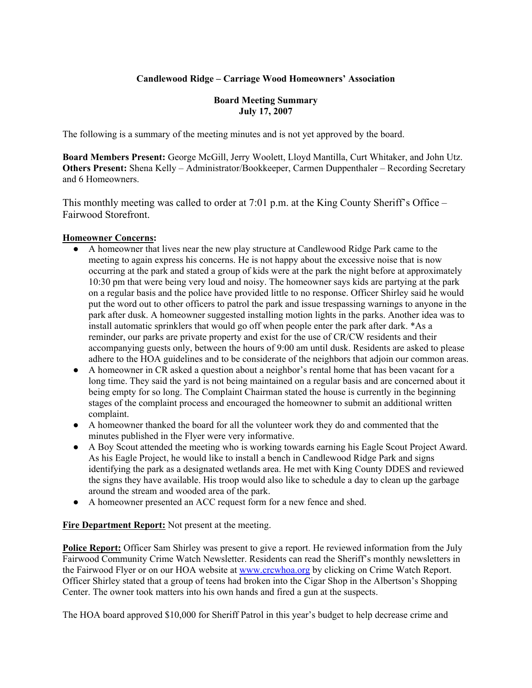# **Candlewood Ridge – Carriage Wood Homeowners' Association**

#### **Board Meeting Summary July 17, 2007**

The following is a summary of the meeting minutes and is not yet approved by the board.

**Board Members Present:** George McGill, Jerry Woolett, Lloyd Mantilla, Curt Whitaker, and John Utz. **Others Present:** Shena Kelly – Administrator/Bookkeeper, Carmen Duppenthaler – Recording Secretary and 6 Homeowners.

This monthly meeting was called to order at 7:01 p.m. at the King County Sheriff's Office – Fairwood Storefront.

# **Homeowner Concerns:**

- A homeowner that lives near the new play structure at Candlewood Ridge Park came to the meeting to again express his concerns. He is not happy about the excessive noise that is now occurring at the park and stated a group of kids were at the park the night before at approximately 10:30 pm that were being very loud and noisy. The homeowner says kids are partying at the park on a regular basis and the police have provided little to no response. Officer Shirley said he would put the word out to other officers to patrol the park and issue trespassing warnings to anyone in the park after dusk. A homeowner suggested installing motion lights in the parks. Another idea was to install automatic sprinklers that would go off when people enter the park after dark. \*As a reminder, our parks are private property and exist for the use of CR/CW residents and their accompanying guests only, between the hours of 9:00 am until dusk. Residents are asked to please adhere to the HOA guidelines and to be considerate of the neighbors that adjoin our common areas.
- A homeowner in CR asked a question about a neighbor's rental home that has been vacant for a long time. They said the yard is not being maintained on a regular basis and are concerned about it being empty for so long. The Complaint Chairman stated the house is currently in the beginning stages of the complaint process and encouraged the homeowner to submit an additional written complaint.
- A homeowner thanked the board for all the volunteer work they do and commented that the minutes published in the Flyer were very informative.
- A Boy Scout attended the meeting who is working towards earning his Eagle Scout Project Award. As his Eagle Project, he would like to install a bench in Candlewood Ridge Park and signs identifying the park as a designated wetlands area. He met with King County DDES and reviewed the signs they have available. His troop would also like to schedule a day to clean up the garbage around the stream and wooded area of the park.
- A homeowner presented an ACC request form for a new fence and shed.

**Fire Department Report:** Not present at the meeting.

**Police Report:** Officer Sam Shirley was present to give a report. He reviewed information from the July Fairwood Community Crime Watch Newsletter. Residents can read the Sheriff's monthly newsletters in the Fairwood Flyer or on our HOA website at www.crcwhoa.org by clicking on Crime Watch Report. Officer Shirley stated that a group of teens had broken into the Cigar Shop in the Albertson's Shopping Center. The owner took matters into his own hands and fired a gun at the suspects.

The HOA board approved \$10,000 for Sheriff Patrol in this year's budget to help decrease crime and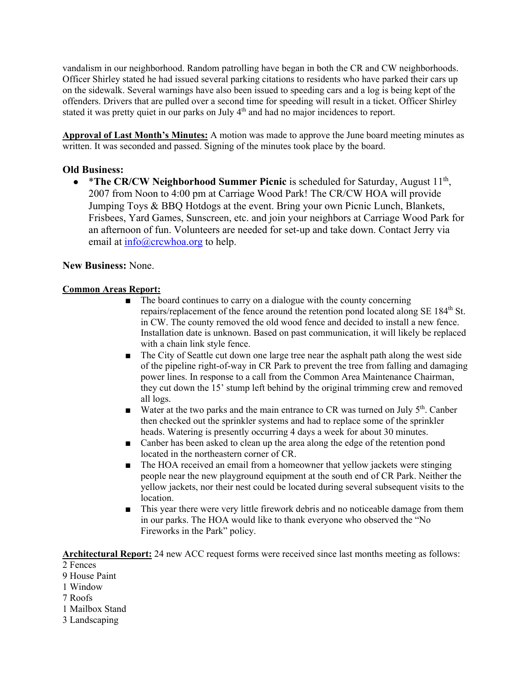vandalism in our neighborhood. Random patrolling have began in both the CR and CW neighborhoods. Officer Shirley stated he had issued several parking citations to residents who have parked their cars up on the sidewalk. Several warnings have also been issued to speeding cars and a log is being kept of the offenders. Drivers that are pulled over a second time for speeding will result in a ticket. Officer Shirley stated it was pretty quiet in our parks on July 4<sup>th</sup> and had no major incidences to report.

**Approval of Last Month's Minutes:** A motion was made to approve the June board meeting minutes as written. It was seconded and passed. Signing of the minutes took place by the board.

# **Old Business:**

• \*The CR/CW Neighborhood Summer Picnic is scheduled for Saturday, August 11<sup>th</sup>, 2007 from Noon to 4:00 pm at Carriage Wood Park! The CR/CW HOA will provide Jumping Toys & BBQ Hotdogs at the event. Bring your own Picnic Lunch, Blankets, Frisbees, Yard Games, Sunscreen, etc. and join your neighbors at Carriage Wood Park for an afternoon of fun. Volunteers are needed for set-up and take down. Contact Jerry via email at  $info@crcwboa.org$  to help.

# **New Business:** None.

#### **Common Areas Report:**

- The board continues to carry on a dialogue with the county concerning repairs/replacement of the fence around the retention pond located along SE 184<sup>th</sup> St. in CW. The county removed the old wood fence and decided to install a new fence. Installation date is unknown. Based on past communication, it will likely be replaced with a chain link style fence.
- The City of Seattle cut down one large tree near the asphalt path along the west side of the pipeline right-of-way in CR Park to prevent the tree from falling and damaging power lines. In response to a call from the Common Area Maintenance Chairman, they cut down the 15' stump left behind by the original trimming crew and removed all logs.
- Water at the two parks and the main entrance to CR was turned on July  $5<sup>th</sup>$ . Canber then checked out the sprinkler systems and had to replace some of the sprinkler heads. Watering is presently occurring 4 days a week for about 30 minutes.
- Canber has been asked to clean up the area along the edge of the retention pond located in the northeastern corner of CR.
- The HOA received an email from a homeowner that yellow jackets were stinging people near the new playground equipment at the south end of CR Park. Neither the yellow jackets, nor their nest could be located during several subsequent visits to the location.
- This year there were very little firework debris and no noticeable damage from them in our parks. The HOA would like to thank everyone who observed the "No Fireworks in the Park" policy.

**Architectural Report:** 24 new ACC request forms were received since last months meeting as follows:

- 2 Fences
- 9 House Paint
- 1 Window
- 7 Roofs
- 1 Mailbox Stand
- 3 Landscaping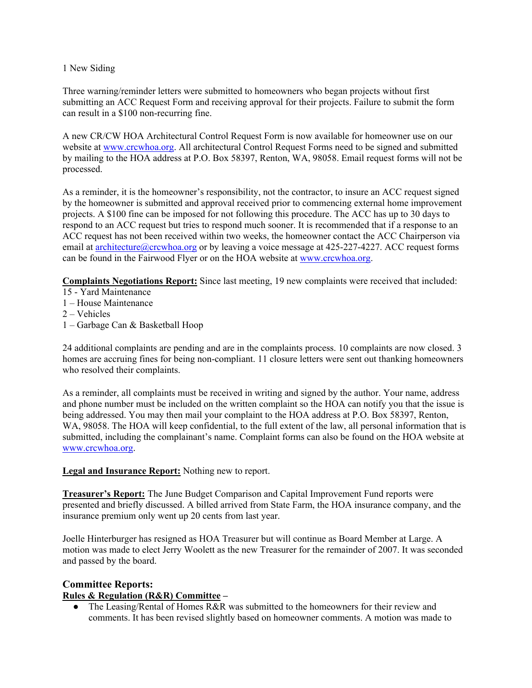#### 1 New Siding

Three warning/reminder letters were submitted to homeowners who began projects without first submitting an ACC Request Form and receiving approval for their projects. Failure to submit the form can result in a \$100 non-recurring fine.

A new CR/CW HOA Architectural Control Request Form is now available for homeowner use on our website at www.crcwhoa.org. All architectural Control Request Forms need to be signed and submitted by mailing to the HOA address at P.O. Box 58397, Renton, WA, 98058. Email request forms will not be processed.

As a reminder, it is the homeowner's responsibility, not the contractor, to insure an ACC request signed by the homeowner is submitted and approval received prior to commencing external home improvement projects. A \$100 fine can be imposed for not following this procedure. The ACC has up to 30 days to respond to an ACC request but tries to respond much sooner. It is recommended that if a response to an ACC request has not been received within two weeks, the homeowner contact the ACC Chairperson via email at architecture@crcwhoa.org or by leaving a voice message at 425-227-4227. ACC request forms can be found in the Fairwood Flyer or on the HOA website at www.crcwhoa.org.

**Complaints Negotiations Report:** Since last meeting, 19 new complaints were received that included:

- 15 Yard Maintenance
- 1 House Maintenance
- 2 Vehicles
- 1 Garbage Can & Basketball Hoop

24 additional complaints are pending and are in the complaints process. 10 complaints are now closed. 3 homes are accruing fines for being non-compliant. 11 closure letters were sent out thanking homeowners who resolved their complaints.

As a reminder, all complaints must be received in writing and signed by the author. Your name, address and phone number must be included on the written complaint so the HOA can notify you that the issue is being addressed. You may then mail your complaint to the HOA address at P.O. Box 58397, Renton, WA, 98058. The HOA will keep confidential, to the full extent of the law, all personal information that is submitted, including the complainant's name. Complaint forms can also be found on the HOA website at www.crcwhoa.org.

#### **Legal and Insurance Report:** Nothing new to report.

**Treasurer's Report:** The June Budget Comparison and Capital Improvement Fund reports were presented and briefly discussed. A billed arrived from State Farm, the HOA insurance company, and the insurance premium only went up 20 cents from last year.

Joelle Hinterburger has resigned as HOA Treasurer but will continue as Board Member at Large. A motion was made to elect Jerry Woolett as the new Treasurer for the remainder of 2007. It was seconded and passed by the board.

# **Committee Reports:**

# **Rules & Regulation (R&R) Committee –**

• The Leasing/Rental of Homes R&R was submitted to the homeowners for their review and comments. It has been revised slightly based on homeowner comments. A motion was made to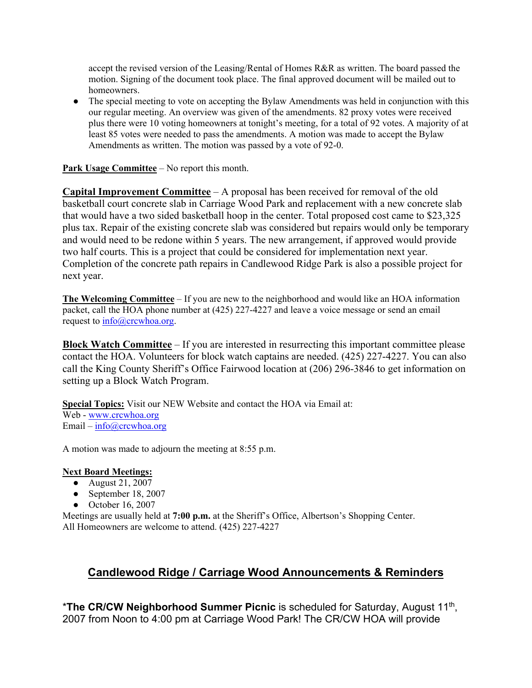accept the revised version of the Leasing/Rental of Homes R&R as written. The board passed the motion. Signing of the document took place. The final approved document will be mailed out to homeowners.

• The special meeting to vote on accepting the Bylaw Amendments was held in conjunction with this our regular meeting. An overview was given of the amendments. 82 proxy votes were received plus there were 10 voting homeowners at tonight's meeting, for a total of 92 votes. A majority of at least 85 votes were needed to pass the amendments. A motion was made to accept the Bylaw Amendments as written. The motion was passed by a vote of 92-0.

**Park Usage Committee** – No report this month.

**Capital Improvement Committee** – A proposal has been received for removal of the old basketball court concrete slab in Carriage Wood Park and replacement with a new concrete slab that would have a two sided basketball hoop in the center. Total proposed cost came to \$23,325 plus tax. Repair of the existing concrete slab was considered but repairs would only be temporary and would need to be redone within 5 years. The new arrangement, if approved would provide two half courts. This is a project that could be considered for implementation next year. Completion of the concrete path repairs in Candlewood Ridge Park is also a possible project for next year.

**The Welcoming Committee** – If you are new to the neighborhood and would like an HOA information packet, call the HOA phone number at (425) 227-4227 and leave a voice message or send an email request to info@crcwhoa.org.

**Block Watch Committee** – If you are interested in resurrecting this important committee please contact the HOA. Volunteers for block watch captains are needed. (425) 227-4227. You can also call the King County Sheriff's Office Fairwood location at (206) 296-3846 to get information on setting up a Block Watch Program.

**Special Topics:** Visit our NEW Website and contact the HOA via Email at: Web - www.crcwhoa.org Email – info@crcwhoa.org

A motion was made to adjourn the meeting at 8:55 p.m.

# **Next Board Meetings:**

- August 21, 2007
- September 18, 2007
- October 16, 2007

Meetings are usually held at **7:00 p.m.** at the Sheriff's Office, Albertson's Shopping Center. All Homeowners are welcome to attend. (425) 227-4227

# **Candlewood Ridge / Carriage Wood Announcements & Reminders**

\***The CR/CW Neighborhood Summer Picnic** is scheduled for Saturday, August 11th, 2007 from Noon to 4:00 pm at Carriage Wood Park! The CR/CW HOA will provide